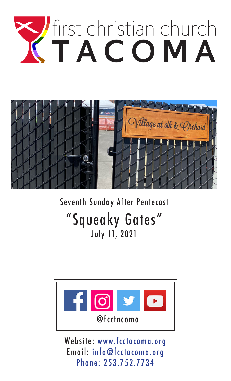



# Seventh Sunday After Pentecost "Squeaky Gates" July 11, 2021



Website: www.fcctacoma.org Email: info@fcctacoma.org Phone: 253.752.7734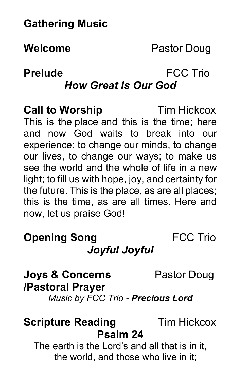# **Gathering Music**

# **Welcome** Pastor Doug

# **Prelude** FCC Trio

## *How Great is Our God*

**Call to Worship** Tim Hickcox This is the place and this is the time; here and now God waits to break into our experience: to change our minds, to change our lives, to change our ways; to make us see the world and the whole of life in a new light; to fill us with hope, joy, and certainty for the future. This is the place, as are all places; this is the time, as are all times. Here and now, let us praise God!

### **Opening Song FCC Trio** *Joyful Joyful*

**Joys & Concerns** Pastor Doug

#### **/Pastoral Prayer**

*Music by FCC Trio - Precious Lord*

### **Scripture Reading Tim Hickcox Psalm 24**

The earth is the Lord's and all that is in it, the world, and those who live in it;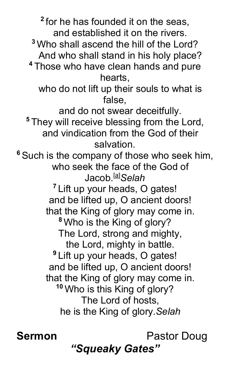**<sup>2</sup>** for he has founded it on the seas, and established it on the rivers. **<sup>3</sup>** Who shall ascend the hill of the Lord? And who shall stand in his holy place? **<sup>4</sup>** Those who have clean hands and pure hearts, who do not lift up their souls to what is false, and do not swear deceitfully. **<sup>5</sup>** They will receive blessing from the Lord, and vindication from the God of their salvation. **<sup>6</sup>** Such is the company of those who seek him, who seek the face of the God of Jacob.[a] *Selah* **<sup>7</sup>** Lift up your heads, O gates! and be lifted up, O ancient doors! that the King of glory may come in. **<sup>8</sup>** Who is the King of glory? The Lord, strong and mighty, the Lord, mighty in battle. **<sup>9</sup>** Lift up your heads, O gates! and be lifted up, O ancient doors! that the King of glory may come in. **<sup>10</sup>** Who is this King of glory? The Lord of hosts, he is the King of glory.*Selah*

**Sermon** Pastor Doug *"Squeaky Gates"*